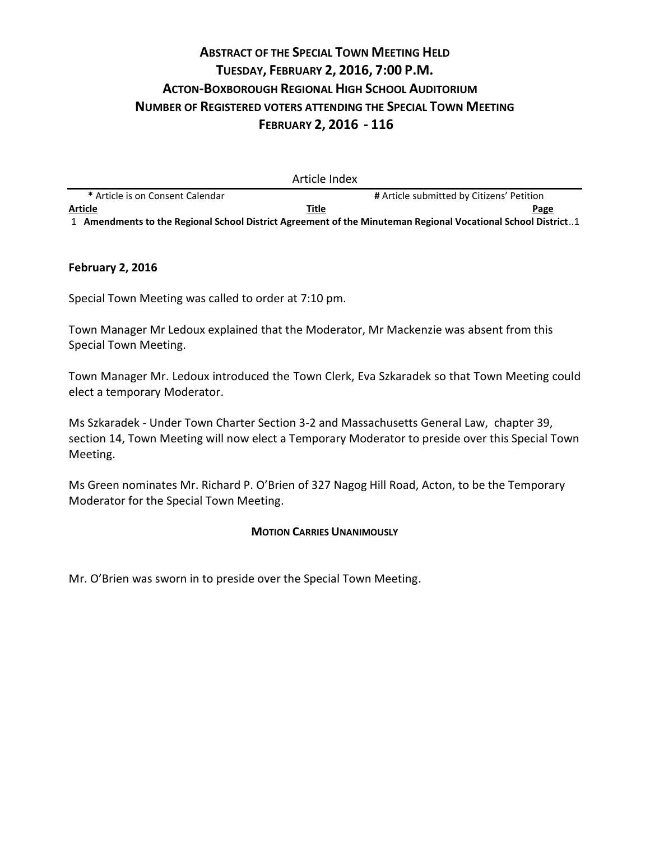# **ABSTRACT OF THE SPECIAL TOWN MEETING HELD TUESDAY, FEBRUARY 2, 2016, 7:00 P.M. ACTON-BOXBOROUGH REGIONAL HIGH SCHOOL AUDITORIUM NUMBER OF REGISTERED VOTERS ATTENDING THE SPECIAL TOWN MEETING FEBRUARY 2, 2016 - 116**

|                                                                                                              | Article Index |                                           |
|--------------------------------------------------------------------------------------------------------------|---------------|-------------------------------------------|
| * Article is on Consent Calendar                                                                             |               | # Article submitted by Citizens' Petition |
| <b>Article</b>                                                                                               | Title         | Page                                      |
| 1. Amendments to the Regional School District Agreement of the Minuteman Regional Vocational School District |               |                                           |

#### **February 2, 2016**

Special Town Meeting was called to order at 7:10 pm.

Town Manager Mr Ledoux explained that the Moderator, Mr Mackenzie was absent from this Special Town Meeting.

Town Manager Mr. Ledoux introduced the Town Clerk, Eva Szkaradek so that Town Meeting could elect a temporary Moderator.

Ms Szkaradek - Under Town Charter Section 3-2 and Massachusetts General Law, chapter 39, section 14, Town Meeting will now elect a Temporary Moderator to preside over this Special Town Meeting.

Ms Green nominates Mr. Richard P. O'Brien of 327 Nagog Hill Road, Acton, to be the Temporary Moderator for the Special Town Meeting.

#### **MOTION CARRIES UNANIMOUSLY**

Mr. O'Brien was sworn in to preside over the Special Town Meeting.